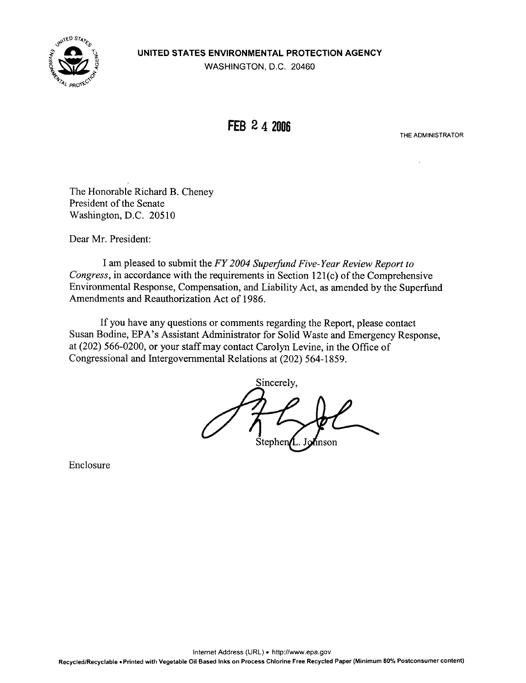

**FEB 2 4 2006** 

THE ADMINISTRATOR

The Honorable Richard B. Cheney President of the Senate Washington, D.C. 20510

Dear Mr. President:

I am pleased to submit the FY 2004 Superfund Five-Year Review Report to Congress, in accordance with the requirements in Section 121(c) of the Comprehensive Environmental Response, Compensation, and Liability Act, as amended by the Superfund Amendments and Reauthorization Act of 1986.

If you have any questions or comments regarding the Report, please contact Susan Bodine, EPA's Assistant Administrator for Solid Waste and Emergency Response, at (202) 566-0200, or your staff may contact Carolyn Levine, in the Office of Congressional and Intergovernmental Relations at (202) 564-1859.

Sincerely, hnson Stephen

Enclosure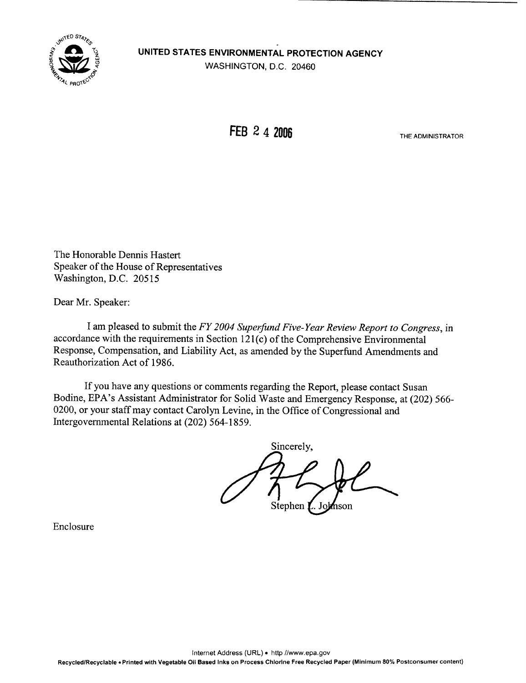

FEB 2 4 2006 THE ADMINISTRATOR

The Honorable Dennis Hastert Speaker of the House of Representatives Washington, D.C. 20515

Dear Mr. Speaker:

I am pleased to submit the FY 2004 Superfund Five-Year Review Report to Congress, in accordance with the requirements in Section 121(c) of the Comprehensive Environmental Response, Compensation, and Liability Act, as amended by the Superfund Amendments and Reauthorization Act of 1986.

If you have any questions or comments regarding the Report, please contact Susan Bodine, EPA's Assistant Administrator for Solid Waste and Emergency Response, at (202) 566 0200, or your staffmay contact Carolyn Levine, in the Office of Congressional and Intergovernmental Relations at (202) 564-1859.

Sincerely, Stephen I 'nson

Enclosure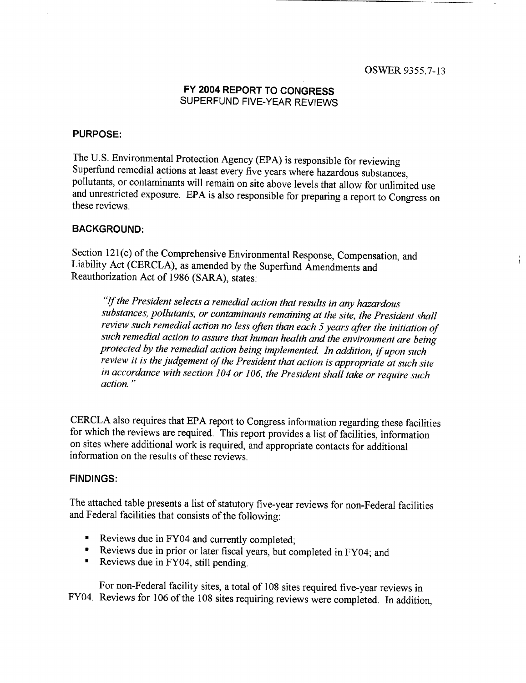### FY 2004 REPORT TO CONGRESS SUPERFUND FIVE-YEAR REVIEWS

#### PURPOSE:

The U.S. Environmental Protection Agency (EPA) is responsible for reviewing Superfund remedial actions at least every five years where hazardous substances, pollutants, or contaminants will remain on site above levels that and unrestricted exposure. EPA is also responsible for preparing a report to Congress on these reviews.

#### BACKGROUND:

Section 121(c) of the Comprehensive Environmental Response, Compensation, and Liability Act (CERCLA), as amended by the Superfund Amendments and Reauthorization Act of 1986 (SARA), states :

"If the President selects a remedial action that results in any hazardous substances, pollutants, or contaminants remaining at the site, the President shall review such remedial action no less often than each 5 years after the initiation of such remedial action to assure that human health and the environment are being protected by the remedial action being implemented. In addition, if upon such review it is the judgement of the President that action is appropriate at such site in accordance with section 104 or 106, the President shall take or require such action . "

CERCLA also requires that EPA report to Congress information regarding these facilities for which the reviews are required. This report provides a list of facilities, information on sites where additional work is required, and appropriate contacts for additional information on the results of these reviews.

#### FINDINGS:

The attached table presents a list of statutory five-year reviews for non-Federal facilities and Federal facilities that consists of the following:

- Reviews due in FY04 and currently completed;
- . Reviews due in prior or later fiscal years, but completed in FY04; and
- Reviews due in FY04, still pending.

For non-Federal facility sites, a total of 108 sites required five-year reviews in FY04. Reviews for 106 of the 108 sites requiring reviews were completed. In addition,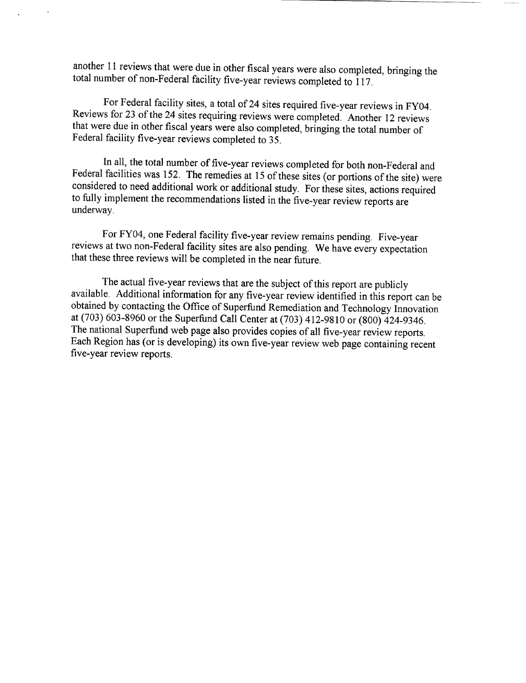another 11 reviews that were due in other fiscal years were also completed, bringing the total number of non-Federal facility five-year reviews completed to 117 .

For Federal facility sites, a total of 24 sites required five-year reviews in FY04. Reviews for 23 of the 24 sites requiring reviews were completed . Another 12 reviews that were due in other fiscal years were also completed, bringing the total number of Federal facility five-year reviews completed to 35.

In all, the total number of five-year reviews completed for both non-Federal and Federal facilities was 152. The remedies at 15 of these sites (or portions of the site) were considered to need additional work or additional to fully implement the recommendations listed in the five-year review reports are underway.

For FY04, one Federal facility five-year review remains pending. Five-year reviews at two non-Federal facility sites are also pending. We have every expectation that these three reviews will be completed in the near future .

The actual five-year reviews that are the subject of this report are publicly available . Additional information for any five-year review identified in this report can be obtained by contacting the Office of Superfund Remediation and Technology Innovation<br>at (703) 603-8960 or the Superfund Call Center at (703) 412-9810 or (800) 424-9346. The national Superfund web page also provides copies of all five-year review reports.<br>Each Region has (or is developing) its own five-year review web page containing recent five-year review reports.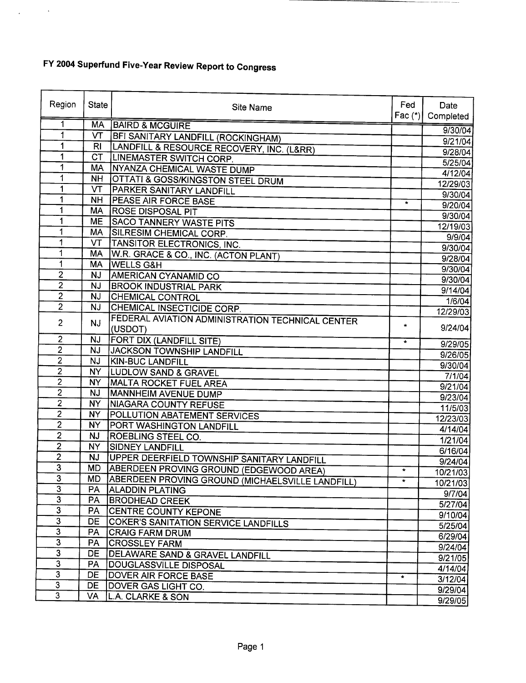$\Delta \phi = 0.01$  .  $\Delta \phi$ 

| Region                  | <b>State</b>   | Site Name                                        | Fed<br>Fac $(*)$ | Date<br>Completed  |
|-------------------------|----------------|--------------------------------------------------|------------------|--------------------|
| 1                       | <b>MA</b>      | <b>BAIRD &amp; MCGUIRE</b>                       |                  |                    |
| 1                       | VT             | <b>BFI SANITARY LANDFILL (ROCKINGHAM)</b>        |                  | 9/30/04            |
| 1                       | RI             | LANDFILL & RESOURCE RECOVERY, INC. (L&RR)        |                  | 9/21/04            |
| 1                       | <b>CT</b>      | <b>LINEMASTER SWITCH CORP.</b>                   |                  | 9/28/04<br>5/25/04 |
| 1                       | MA             | <b>NYANZA CHEMICAL WASTE DUMP</b>                |                  | 4/12/04            |
| 1                       | <b>NH</b>      | <b>OTTATI &amp; GOSS/KINGSTON STEEL DRUM</b>     |                  | 12/29/03           |
| 1                       | VT             | <b>PARKER SANITARY LANDFILL</b>                  |                  | 9/30/04            |
| 1                       | <b>NH</b>      | <b>IPEASE AIR FORCE BASE</b>                     | $\star$          | 9/20/04            |
| 1                       | <b>MA</b>      | <b>ROSE DISPOSAL PIT</b>                         |                  | 9/30/04            |
| 1                       | <b>ME</b>      | <b>SACO TANNERY WASTE PITS</b>                   |                  | 12/19/03           |
| 1                       | MA             | SILRESIM CHEMICAL CORP.                          |                  | 9/9/04             |
| 1                       | VT             | TANSITOR ELECTRONICS, INC.                       |                  | 9/30/04            |
| 1                       | MA             | W.R. GRACE & CO., INC. (ACTON PLANT)             |                  | 9/28/04            |
| 1                       | <b>MA</b>      | <b>WELLS G&amp;H</b>                             |                  | 9/30/04            |
| $\overline{2}$          | <b>NJ</b>      | <b>AMERICAN CYANAMID CO</b>                      |                  | 9/30/04            |
| $\overline{2}$          | <b>NJ</b>      | <b>BROOK INDUSTRIAL PARK</b>                     |                  | 9/14/04            |
| $\overline{2}$          | <b>NJ</b>      | <b>CHEMICAL CONTROL</b>                          |                  | 1/6/04             |
| $\overline{2}$          | NJ             | CHEMICAL INSECTICIDE CORP.                       |                  | 12/29/03           |
| $\overline{2}$          | <b>NJ</b>      | FEDERAL AVIATION ADMINISTRATION TECHNICAL CENTER |                  |                    |
|                         |                | (USDOT)                                          | $\star$          | 9/24/04            |
| 2                       | <b>NJ</b>      | <b>FORT DIX (LANDFILL SITE)</b>                  | $\star$          | 9/29/05            |
| $\overline{2}$          | <b>NJ</b>      | JACKSON TOWNSHIP LANDFILL                        |                  | 9/26/05            |
| $\overline{2}$          | <b>NJ</b>      | <b>KIN-BUC LANDFILL</b>                          |                  | 9/30/04            |
| $\overline{2}$          | <b>NY</b>      | <b>LUDLOW SAND &amp; GRAVEL</b>                  |                  | 7/1/04             |
| $\overline{2}$          | <b>NY</b>      | <b>MALTA ROCKET FUEL AREA</b>                    |                  | 9/21/04            |
| $\overline{c}$          | <b>NJ</b>      | MANNHEIM AVENUE DUMP                             |                  | 9/23/04            |
| $\overline{2}$          | NY             | NIAGARA COUNTY REFUSE                            |                  | 11/5/03            |
| $\overline{2}$          | NY.            | <b>POLLUTION ABATEMENT SERVICES</b>              |                  | 12/23/03           |
| $\overline{2}$          | NY.            | <b>PORT WASHINGTON LANDFILL</b>                  |                  | 4/14/04            |
| $\overline{2}$          | <b>NJ</b>      | <b>ROEBLING STEEL CO.</b>                        |                  | 1/21/04            |
| $\overline{2}$          | NY <sub></sub> | <b>SIDNEY LANDFILL</b>                           |                  | 6/16/04            |
| $\overline{2}$          | <b>NJ</b>      | UPPER DEERFIELD TOWNSHIP SANITARY LANDFILL       |                  | 9/24/04            |
| 3<br>$\mathbf{R}$       | <b>MD</b>      | <b>ABERDEEN PROVING GROUND (EDGEWOOD AREA)</b>   | $\star$          | 10/21/03           |
|                         | MD             | ABERDEEN PROVING GROUND (MICHAELSVILLE LANDFILL) |                  | 10/21/03           |
| 3                       | PA             | <b>ALADDIN PLATING</b>                           |                  | 9/7/04             |
| 3<br>3                  | <b>PA</b>      | <b>BRODHEAD CREEK</b>                            |                  | 5/27/04            |
|                         | PA             | <b>CENTRE COUNTY KEPONE</b>                      |                  | 9/10/04            |
| 3<br>3                  | DE             | COKER'S SANITATION SERVICE LANDFILLS             |                  | 5/25/04            |
| $\overline{3}$          | <b>PA</b>      | CRAIG FARM DRUM                                  |                  | 6/29/04            |
| $\overline{3}$          | PA.            | <b>CROSSLEY FARM</b>                             |                  | 9/24/04            |
| $\overline{\mathbf{3}}$ | DE             | DELAWARE SAND & GRAVEL LANDFILL                  |                  | 9/21/05            |
| $\overline{3}$          | PA             | DOUGLASSVILLE DISPOSAL                           |                  | 4/14/04            |
| $\overline{\mathbf{3}}$ | DE             | <b>DOVER AIR FORCE BASE</b>                      | $\star$          | 3/12/04            |
| 3                       | DE             | DOVER GAS LIGHT CO.                              |                  | 9/29/04            |
|                         | VA             | L.A. CLARKE & SON                                |                  | 9/29/05            |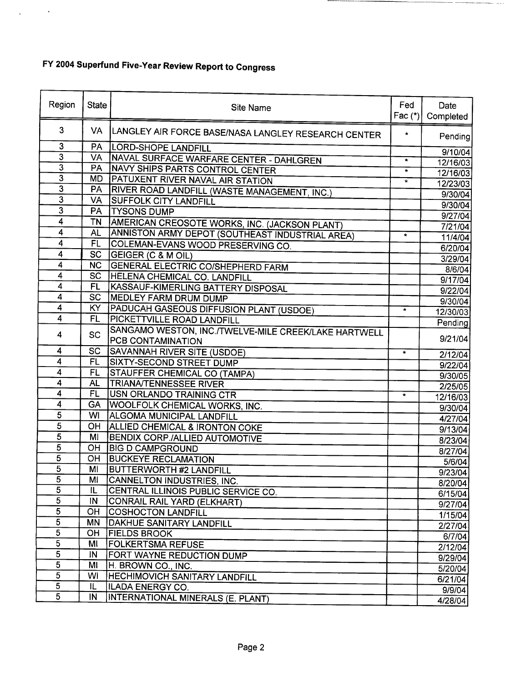$\Delta \phi = 0.000$ 

| Region                                      | <b>State</b>    | Site Name                                            | Fed<br>Fac $(*)$ | Date<br>Completed |
|---------------------------------------------|-----------------|------------------------------------------------------|------------------|-------------------|
| 3                                           | <b>VA</b>       | LANGLEY AIR FORCE BASE/NASA LANGLEY RESEARCH CENTER  | $\star$          | Pending           |
| $\overline{3}$                              | PA              | <b>LORD-SHOPE LANDFILL</b>                           |                  | 9/10/04           |
| $\overline{3}$<br>$\overline{\overline{3}}$ | VA              | NAVAL SURFACE WARFARE CENTER - DAHLGREN              | $\star$          | 12/16/03          |
| $\overline{\overline{3}}$                   | PA              | NAVY SHIPS PARTS CONTROL CENTER                      | $\star$          | 12/16/03          |
| $\overline{\mathbf{3}}$                     | <b>MD</b>       | PATUXENT RIVER NAVAL AIR STATION                     | $\star$          | 12/23/03          |
| $\overline{\mathbf{3}}$                     | PA              | RIVER ROAD LANDFILL (WASTE MANAGEMENT, INC.)         |                  | 9/30/04           |
| $\overline{3}$                              | VA              | <b>SUFFOLK CITY LANDFILL</b>                         |                  | 9/30/04           |
|                                             | PA              | <b>TYSONS DUMP</b>                                   |                  | 9/27/04           |
| 4                                           | <b>TN</b>       | AMERICAN CREOSOTE WORKS, INC. (JACKSON PLANT)        |                  | 7/21/04           |
| 4                                           | <b>AL</b>       | ANNISTON ARMY DEPOT (SOUTHEAST INDUSTRIAL AREA)      | $\star$          | 11/4/04           |
| $\overline{4}$                              | F               | COLEMAN-EVANS WOOD PRESERVING CO.                    |                  | 6/20/04           |
| 4                                           | $\overline{SC}$ | GEIGER (C & M OIL)                                   |                  | 3/29/04           |
| 4                                           | <b>NC</b>       | <b>GENERAL ELECTRIC CO/SHEPHERD FARM</b>             |                  | 8/6/04            |
| $\overline{\mathbf{4}}$                     | SC              | <b>HELENA CHEMICAL CO. LANDFILL</b>                  |                  | 9/17/04           |
| $\overline{\mathbf{4}}$                     | <b>FL</b>       | KASSAUF-KIMERLING BATTERY DISPOSAL                   |                  | 9/22/04           |
| $\overline{\mathbf{4}}$                     | <b>SC</b>       | MEDLEY FARM DRUM DUMP                                |                  | 9/30/04           |
| $\overline{\mathbf{4}}$                     | KY              | PADUCAH GASEOUS DIFFUSION PLANT (USDOE)              | $\star$          | 12/30/03          |
| 4                                           | FL              | PICKETTVILLE ROAD LANDFILL                           |                  | Pending           |
| 4                                           | <b>SC</b>       | SANGAMO WESTON, INC./TWELVE-MILE CREEK/LAKE HARTWELL |                  |                   |
|                                             |                 | PCB CONTAMINATION                                    |                  | 9/21/04           |
| $\overline{4}$                              | SC              | SAVANNAH RIVER SITE (USDOE)                          | $\star$          | 2/12/04           |
| $\overline{4}$                              | <b>FL</b>       | <b>SIXTY-SECOND STREET DUMP</b>                      |                  | 9/22/04           |
| $\overline{\mathbf{4}}$                     | <b>FL</b>       | STAUFFER CHEMICAL CO (TAMPA)                         |                  | 9/30/05           |
| 4                                           | <b>AL</b>       | <b>TRIANA/TENNESSEE RIVER</b>                        |                  | 2/25/05           |
| 4                                           | <b>FL</b>       | USN ORLANDO TRAINING CTR                             | $\star$          | 12/16/03          |
| $\overline{\mathbf{4}}$                     | <b>GA</b>       | WOOLFOLK CHEMICAL WORKS, INC.                        |                  | 9/30/04           |
| $\overline{5}$                              | WI              | <b>ALGOMA MUNICIPAL LANDFILL</b>                     |                  | 4/27/04           |
| $\overline{5}$                              | OH              | <b>ALLIED CHEMICAL &amp; IRONTON COKE</b>            |                  | 9/13/04           |
| 5                                           | MI              | <b>BENDIX CORP./ALLIED AUTOMOTIVE</b>                |                  | 8/23/04           |
| 5                                           | OH              | <b>BIG D CAMPGROUND</b>                              |                  | 8/27/04           |
| $\overline{5}$                              | OH              | <b>BUCKEYE RECLAMATION</b>                           |                  | 5/6/04            |
| 5                                           | MI              | <b>BUTTERWORTH #2 LANDFILL</b>                       |                  | 9/23/04           |
| $\overline{5}$                              | MI              | CANNELTON INDUSTRIES, INC.                           |                  | 8/20/04           |
| 5                                           | IL              | CENTRAL ILLINOIS PUBLIC SERVICE CO.                  |                  | 6/15/04           |
| 5                                           | IN.             | CONRAIL RAIL YARD (ELKHART)                          |                  | 9/27/04           |
| $\overline{5}$                              | <b>OH</b>       | <b>COSHOCTON LANDFILL</b>                            |                  | 1/15/04           |
| $\overline{5}$                              | <b>MN</b>       | <b>DAKHUE SANITARY LANDFILL</b>                      |                  | 2/27/04           |
| $\overline{5}$                              | OН              | <b>FIELDS BROOK</b>                                  |                  | 6/7/04            |
| $\overline{5}$                              | MI              | <b>FOLKERTSMA REFUSE</b>                             |                  | 2/12/04           |
| $\overline{5}$                              | IN              | <b>FORT WAYNE REDUCTION DUMP</b>                     |                  | 9/29/04           |
| $\overline{5}$                              | MI              | H. BROWN CO., INC.                                   |                  | 5/20/04           |
| $\overline{5}$                              | WI              | <b>HECHIMOVICH SANITARY LANDFILL</b>                 |                  | 6/21/04           |
| $\overline{5}$<br>$\overline{5}$            | IL              | ILADA ENERGY CO.                                     |                  | 9/9/04            |
|                                             | IN              | INTERNATIONAL MINERALS (E. PLANT)                    |                  | 4/28/04           |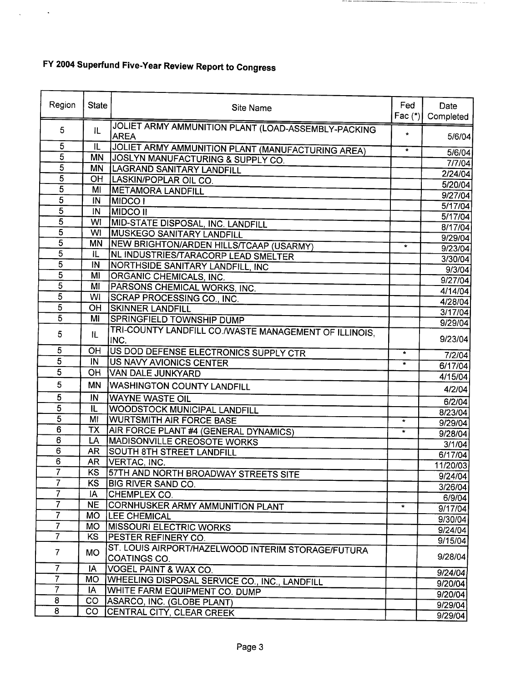$\mathcal{L}_{\text{max}}$  ,  $\mathcal{L}_{\text{max}}$ 

| Region                           | <b>State</b>              | Site Name                                                          | Fed<br>Fac $(*)$ | Date<br>Completed |
|----------------------------------|---------------------------|--------------------------------------------------------------------|------------------|-------------------|
| 5                                | IL                        | JOLIET ARMY AMMUNITION PLANT (LOAD-ASSEMBLY-PACKING<br><b>AREA</b> | $\star$          | 5/6/04            |
| 5                                | IL                        | JOLIET ARMY AMMUNITION PLANT (MANUFACTURING AREA)                  | $\star$          | 5/6/04            |
| $\overline{5}$                   | <b>MN</b>                 | JOSLYN MANUFACTURING & SUPPLY CO.                                  |                  | 7/7/04            |
| $\overline{5}$                   |                           | MN   LAGRAND SANITARY LANDFILL                                     |                  | 2/24/04           |
| $\overline{5}$                   | OH                        | LASKIN/POPLAR OIL CO.                                              |                  | 5/20/04           |
| $\overline{5}$                   | MI                        | <b>METAMORA LANDFILL</b>                                           |                  | 9/27/04           |
| 5                                | $\overline{M}$            | <b>MIDCO</b> T                                                     |                  | 5/17/04           |
| $\overline{5}$                   | IN                        | <b>MIDCO II</b>                                                    |                  | 5/17/04           |
| $\overline{5}$                   | WI                        | MID-STATE DISPOSAL, INC. LANDFILL                                  |                  | 8/17/04           |
| $\overline{5}$                   | WI                        | <b>MUSKEGO SANITARY LANDFILL</b>                                   |                  | 9/29/04           |
| 5                                | <b>MN</b>                 | NEW BRIGHTON/ARDEN HILLS/TCAAP (USARMY)                            | $\star$          | 9/23/04           |
| $\overline{5}$                   | IL.                       | NL INDUSTRIES/TARACORP LEAD SMELTER                                |                  | 3/30/04           |
| 5                                | IN                        | NORTHSIDE SANITARY LANDFILL, INC                                   |                  | 9/3/04            |
| $\overline{5}$                   | MI                        | ORGANIC CHEMICALS, INC.                                            |                  | 9/27/04           |
| $\overline{5}$                   | MI                        | PARSONS CHEMICAL WORKS, INC.                                       |                  | 4/14/04           |
| $\overline{5}$                   | WI                        | SCRAP PROCESSING CO., INC.                                         |                  | 4/28/04           |
| $\overline{5}$                   | <b>OH</b>                 | <b>ISKINNER LANDFILL</b>                                           |                  | 3/17/04           |
| $\overline{5}$                   | MI                        | <b>SPRINGFIELD TOWNSHIP DUMP</b>                                   |                  | 9/29/04           |
| 5                                | IL.                       | TRI-COUNTY LANDFILL CO./WASTE MANAGEMENT OF ILLINOIS,<br>INC.      |                  | 9/23/04           |
| 5                                | OH                        | US DOD DEFENSE ELECTRONICS SUPPLY CTR                              | $\star$          | 7/2/04            |
| 5                                | IN                        | <b>US NAVY AVIONICS CENTER</b>                                     | $\star$          | 6/17/04           |
| 5                                | <b>OH</b>                 | <b>VAN DALE JUNKYARD</b>                                           |                  | 4/15/04           |
| 5                                | ΜN                        | <b>WASHINGTON COUNTY LANDFILL</b>                                  |                  | 4/2/04            |
| 5                                | IN                        | <b>WAYNE WASTE OIL</b>                                             |                  | 6/2/04            |
| $\overline{5}$                   | $\overline{\mathfrak{n}}$ | <b>WOODSTOCK MUNICIPAL LANDFILL</b>                                |                  | 8/23/04           |
| $\overline{5}$                   | MI                        | <b>WURTSMITH AIR FORCE BASE</b>                                    | $\star$          | 9/29/04           |
| $\overline{6}$                   | <b>TX</b>                 | AIR FORCE PLANT #4 (GENERAL DYNAMICS)                              | $\star$          | 9/28/04           |
| $\overline{6}$<br>$\overline{6}$ | LA                        | <b>MADISONVILLE CREOSOTE WORKS</b>                                 |                  | 3/1/04            |
| 6                                | <b>AR</b>                 | SOUTH 8TH STREET LANDFILL                                          |                  | 6/17/04           |
| 7                                | AR                        | VERTAC, INC.                                                       |                  | 11/20/03          |
|                                  | KS                        | 57TH AND NORTH BROADWAY STREETS SITE                               |                  | 9/24/04           |
| 7<br>7                           | KS<br>IA.                 | <b>BIG RIVER SAND CO.</b><br><b>CHEMPLEX CO.</b>                   |                  | 3/26/04           |
| 7                                | <b>NE</b>                 |                                                                    |                  | 6/9/04            |
| $\overline{7}$                   | <b>MO</b>                 | CORNHUSKER ARMY AMMUNITION PLANT<br><b>LEE CHEMICAL</b>            | $\mathbf{r}$     | 9/17/04           |
| $\overline{7}$                   | MO.                       | <b>MISSOURI ELECTRIC WORKS</b>                                     |                  | 9/30/04           |
| $\overline{7}$                   | <b>KS</b>                 | <b>PESTER REFINERY CO.</b>                                         |                  | 9/24/04           |
|                                  |                           | ST. LOUIS AIRPORT/HAZELWOOD INTERIM STORAGE/FUTURA                 |                  | 9/15/04           |
| $\overline{7}$                   | <b>MO</b>                 | COATINGS CO.                                                       |                  | 9/28/04           |
| $\overline{7}$                   | IA                        | VOGEL PAINT & WAX CO.                                              |                  | 9/24/04           |
| $\overline{7}$                   | MO.                       | WHEELING DISPOSAL SERVICE CO., INC., LANDFILL                      |                  | 9/20/04           |
| $\overline{7}$                   | IA.                       | WHITE FARM EQUIPMENT CO. DUMP                                      |                  | 9/20/04           |
| 8                                | $\rm CO$                  | ASARCO, INC. (GLOBE PLANT)                                         |                  | 9/29/04           |
| $\overline{8}$                   | CO.                       | CENTRAL CITY, CLEAR CREEK                                          |                  | 9/29/04           |

THE R. P. LEWIS CO., LANSING, MICH. 49-14039-1-120-2

 $\bar{z}$